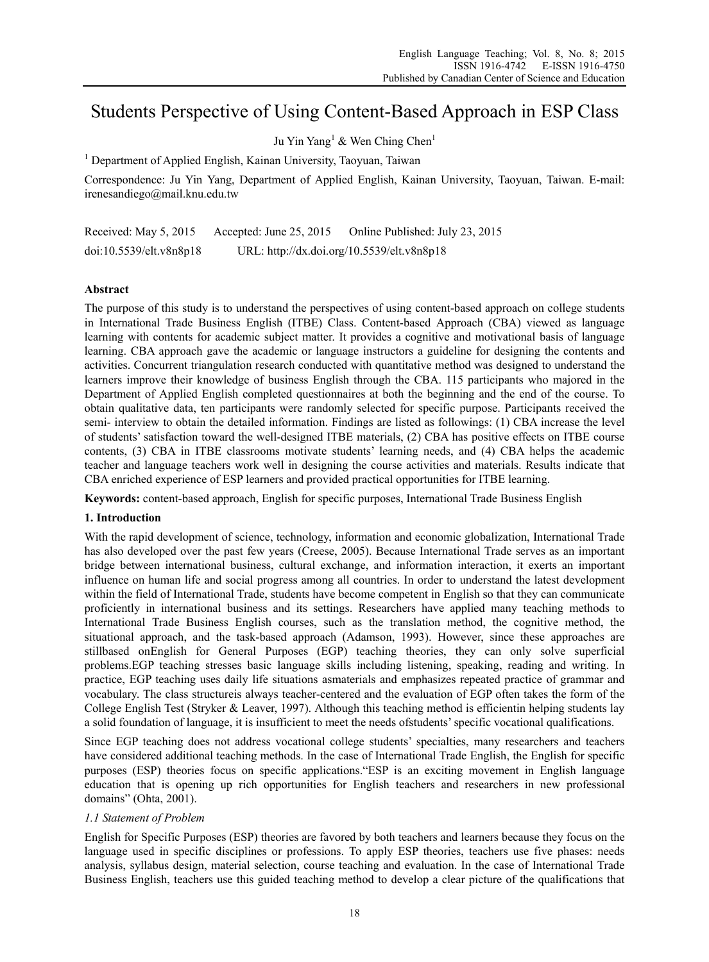# Students Perspective of Using Content-Based Approach in ESP Class

Ju Yin Yang<sup>1</sup> & Wen Ching Chen<sup>1</sup>

<sup>1</sup> Department of Applied English, Kainan University, Taoyuan, Taiwan

Correspondence: Ju Yin Yang, Department of Applied English, Kainan University, Taoyuan, Taiwan. E-mail: irenesandiego@mail.knu.edu.tw

Received: May 5, 2015 Accepted: June 25, 2015 Online Published: July 23, 2015 doi:10.5539/elt.v8n8p18 URL: http://dx.doi.org/10.5539/elt.v8n8p18

## **Abstract**

The purpose of this study is to understand the perspectives of using content-based approach on college students in International Trade Business English (ITBE) Class. Content-based Approach (CBA) viewed as language learning with contents for academic subject matter. It provides a cognitive and motivational basis of language learning. CBA approach gave the academic or language instructors a guideline for designing the contents and activities. Concurrent triangulation research conducted with quantitative method was designed to understand the learners improve their knowledge of business English through the CBA. 115 participants who majored in the Department of Applied English completed questionnaires at both the beginning and the end of the course. To obtain qualitative data, ten participants were randomly selected for specific purpose. Participants received the semi- interview to obtain the detailed information. Findings are listed as followings: (1) CBA increase the level of students' satisfaction toward the well-designed ITBE materials, (2) CBA has positive effects on ITBE course contents, (3) CBA in ITBE classrooms motivate students' learning needs, and (4) CBA helps the academic teacher and language teachers work well in designing the course activities and materials. Results indicate that CBA enriched experience of ESP learners and provided practical opportunities for ITBE learning.

**Keywords:** content-based approach, English for specific purposes, International Trade Business English

## **1. Introduction**

With the rapid development of science, technology, information and economic globalization, International Trade has also developed over the past few years (Creese, 2005). Because International Trade serves as an important bridge between international business, cultural exchange, and information interaction, it exerts an important influence on human life and social progress among all countries. In order to understand the latest development within the field of International Trade, students have become competent in English so that they can communicate proficiently in international business and its settings. Researchers have applied many teaching methods to International Trade Business English courses, such as the translation method, the cognitive method, the situational approach, and the task-based approach (Adamson, 1993). However, since these approaches are stillbased onEnglish for General Purposes (EGP) teaching theories, they can only solve superficial problems.EGP teaching stresses basic language skills including listening, speaking, reading and writing. In practice, EGP teaching uses daily life situations asmaterials and emphasizes repeated practice of grammar and vocabulary. The class structureis always teacher-centered and the evaluation of EGP often takes the form of the College English Test (Stryker & Leaver, 1997). Although this teaching method is efficientin helping students lay a solid foundation of language, it is insufficient to meet the needs ofstudents' specific vocational qualifications.

Since EGP teaching does not address vocational college students' specialties, many researchers and teachers have considered additional teaching methods. In the case of International Trade English, the English for specific purposes (ESP) theories focus on specific applications."ESP is an exciting movement in English language education that is opening up rich opportunities for English teachers and researchers in new professional domains" (Ohta, 2001).

## *1.1 Statement of Problem*

English for Specific Purposes (ESP) theories are favored by both teachers and learners because they focus on the language used in specific disciplines or professions. To apply ESP theories, teachers use five phases: needs analysis, syllabus design, material selection, course teaching and evaluation. In the case of International Trade Business English, teachers use this guided teaching method to develop a clear picture of the qualifications that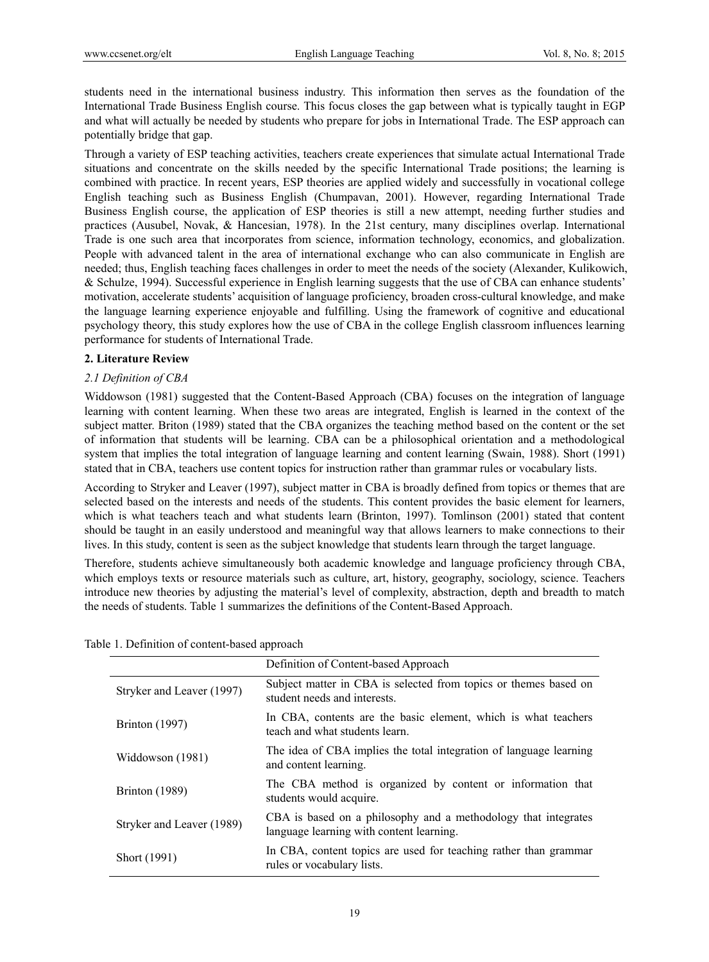students need in the international business industry. This information then serves as the foundation of the International Trade Business English course. This focus closes the gap between what is typically taught in EGP and what will actually be needed by students who prepare for jobs in International Trade. The ESP approach can potentially bridge that gap.

Through a variety of ESP teaching activities, teachers create experiences that simulate actual International Trade situations and concentrate on the skills needed by the specific International Trade positions; the learning is combined with practice. In recent years, ESP theories are applied widely and successfully in vocational college English teaching such as Business English (Chumpavan, 2001). However, regarding International Trade Business English course, the application of ESP theories is still a new attempt, needing further studies and practices (Ausubel, Novak, & Hancesian, 1978). In the 21st century, many disciplines overlap. International Trade is one such area that incorporates from science, information technology, economics, and globalization. People with advanced talent in the area of international exchange who can also communicate in English are needed; thus, English teaching faces challenges in order to meet the needs of the society (Alexander, Kulikowich, & Schulze, 1994). Successful experience in English learning suggests that the use of CBA can enhance students' motivation, accelerate students' acquisition of language proficiency, broaden cross-cultural knowledge, and make the language learning experience enjoyable and fulfilling. Using the framework of cognitive and educational psychology theory, this study explores how the use of CBA in the college English classroom influences learning performance for students of International Trade.

#### **2. Literature Review**

## *2.1 Definition of CBA*

Widdowson (1981) suggested that the Content-Based Approach (CBA) focuses on the integration of language learning with content learning. When these two areas are integrated, English is learned in the context of the subject matter. Briton (1989) stated that the CBA organizes the teaching method based on the content or the set of information that students will be learning. CBA can be a philosophical orientation and a methodological system that implies the total integration of language learning and content learning (Swain, 1988). Short (1991) stated that in CBA, teachers use content topics for instruction rather than grammar rules or vocabulary lists.

According to Stryker and Leaver (1997), subject matter in CBA is broadly defined from topics or themes that are selected based on the interests and needs of the students. This content provides the basic element for learners, which is what teachers teach and what students learn (Brinton, 1997). Tomlinson (2001) stated that content should be taught in an easily understood and meaningful way that allows learners to make connections to their lives. In this study, content is seen as the subject knowledge that students learn through the target language.

Therefore, students achieve simultaneously both academic knowledge and language proficiency through CBA, which employs texts or resource materials such as culture, art, history, geography, sociology, science. Teachers introduce new theories by adjusting the material's level of complexity, abstraction, depth and breadth to match the needs of students. Table 1 summarizes the definitions of the Content-Based Approach.

Table 1. Definition of content-based approach

|                           | Definition of Content-based Approach                                                                       |
|---------------------------|------------------------------------------------------------------------------------------------------------|
| Stryker and Leaver (1997) | Subject matter in CBA is selected from topics or themes based on<br>student needs and interests.           |
| <b>Brinton</b> (1997)     | In CBA, contents are the basic element, which is what teachers<br>teach and what students learn.           |
| Widdowson (1981)          | The idea of CBA implies the total integration of language learning<br>and content learning.                |
| <b>Brinton</b> (1989)     | The CBA method is organized by content or information that<br>students would acquire.                      |
| Stryker and Leaver (1989) | CBA is based on a philosophy and a methodology that integrates<br>language learning with content learning. |
| Short (1991)              | In CBA, content topics are used for teaching rather than grammar<br>rules or vocabulary lists.             |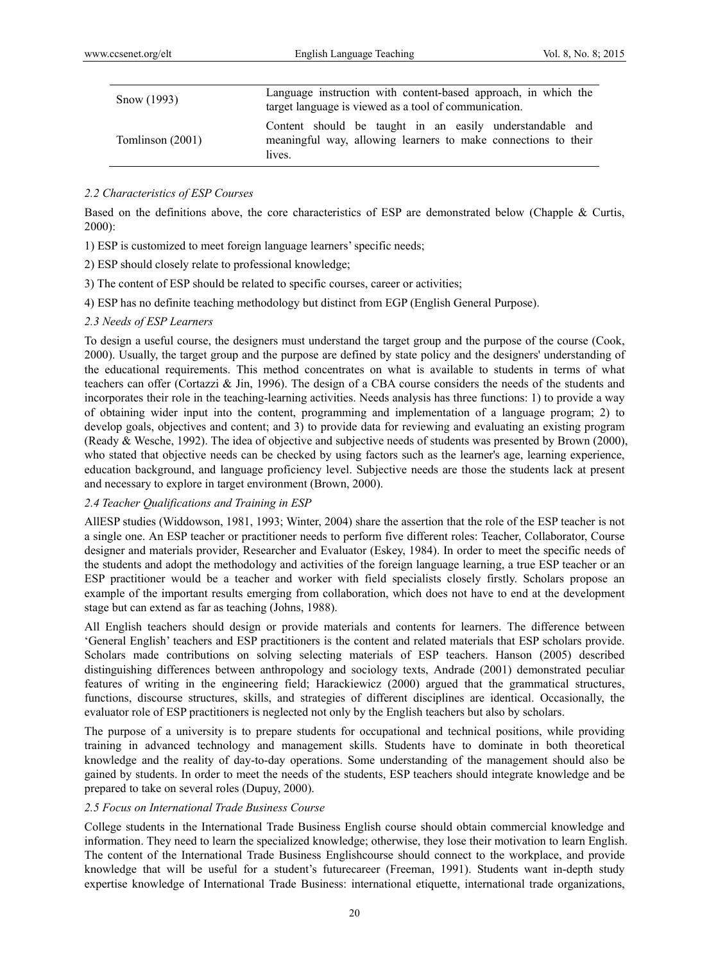| Snow (1993)      | Language instruction with content-based approach, in which the<br>target language is viewed as a tool of communication.              |  |  |  |  |  |  |
|------------------|--------------------------------------------------------------------------------------------------------------------------------------|--|--|--|--|--|--|
| Tomlinson (2001) | Content should be taught in an easily understandable and<br>meaningful way, allowing learners to make connections to their<br>lives. |  |  |  |  |  |  |

#### *2.2 Characteristics of ESP Courses*

Based on the definitions above, the core characteristics of ESP are demonstrated below (Chapple & Curtis, 2000):

- 1) ESP is customized to meet foreign language learners' specific needs;
- 2) ESP should closely relate to professional knowledge;
- 3) The content of ESP should be related to specific courses, career or activities;
- 4) ESP has no definite teaching methodology but distinct from EGP (English General Purpose).

#### *2.3 Needs of ESP Learners*

To design a useful course, the designers must understand the target group and the purpose of the course (Cook, 2000). Usually, the target group and the purpose are defined by state policy and the designers' understanding of the educational requirements. This method concentrates on what is available to students in terms of what teachers can offer (Cortazzi & Jin, 1996). The design of a CBA course considers the needs of the students and incorporates their role in the teaching-learning activities. Needs analysis has three functions: 1) to provide a way of obtaining wider input into the content, programming and implementation of a language program; 2) to develop goals, objectives and content; and 3) to provide data for reviewing and evaluating an existing program (Ready & Wesche, 1992). The idea of objective and subjective needs of students was presented by Brown (2000), who stated that objective needs can be checked by using factors such as the learner's age, learning experience, education background, and language proficiency level. Subjective needs are those the students lack at present and necessary to explore in target environment (Brown, 2000).

## *2.4 Teacher Qualifications and Training in ESP*

AllESP studies (Widdowson, 1981, 1993; Winter, 2004) share the assertion that the role of the ESP teacher is not a single one. An ESP teacher or practitioner needs to perform five different roles: Teacher, Collaborator, Course designer and materials provider, Researcher and Evaluator (Eskey, 1984). In order to meet the specific needs of the students and adopt the methodology and activities of the foreign language learning, a true ESP teacher or an ESP practitioner would be a teacher and worker with field specialists closely firstly. Scholars propose an example of the important results emerging from collaboration, which does not have to end at the development stage but can extend as far as teaching (Johns, 1988).

All English teachers should design or provide materials and contents for learners. The difference between 'General English' teachers and ESP practitioners is the content and related materials that ESP scholars provide. Scholars made contributions on solving selecting materials of ESP teachers. Hanson (2005) described distinguishing differences between anthropology and sociology texts, Andrade (2001) demonstrated peculiar features of writing in the engineering field; Harackiewicz (2000) argued that the grammatical structures, functions, discourse structures, skills, and strategies of different disciplines are identical. Occasionally, the evaluator role of ESP practitioners is neglected not only by the English teachers but also by scholars.

The purpose of a university is to prepare students for occupational and technical positions, while providing training in advanced technology and management skills. Students have to dominate in both theoretical knowledge and the reality of day-to-day operations. Some understanding of the management should also be gained by students. In order to meet the needs of the students, ESP teachers should integrate knowledge and be prepared to take on several roles (Dupuy, 2000).

#### *2.5 Focus on International Trade Business Course*

College students in the International Trade Business English course should obtain commercial knowledge and information. They need to learn the specialized knowledge; otherwise, they lose their motivation to learn English. The content of the International Trade Business Englishcourse should connect to the workplace, and provide knowledge that will be useful for a student's futurecareer (Freeman, 1991). Students want in-depth study expertise knowledge of International Trade Business: international etiquette, international trade organizations,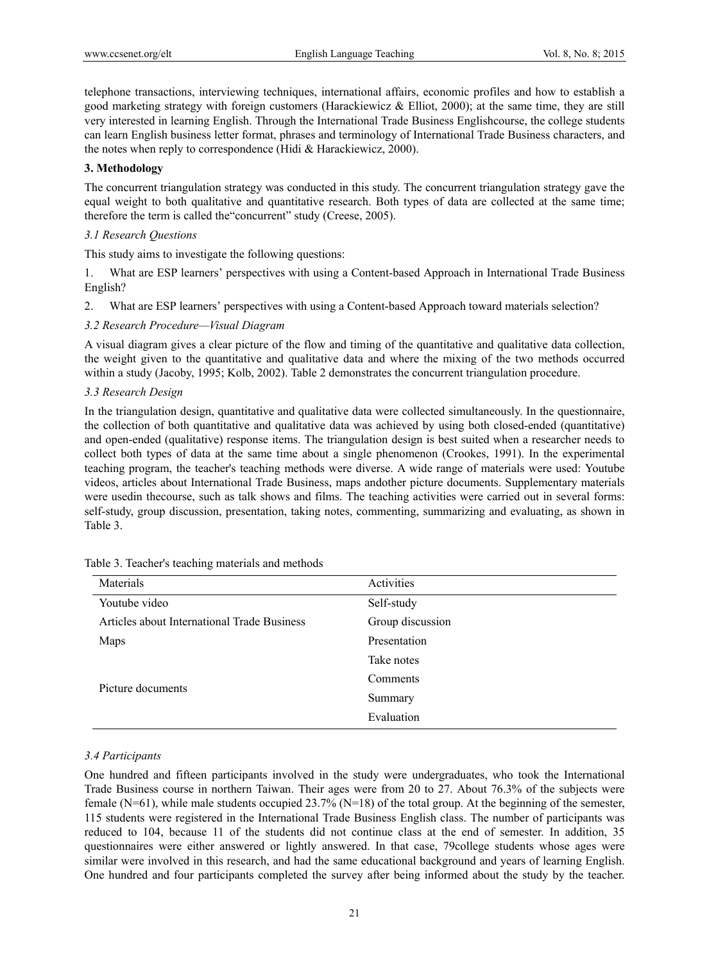telephone transactions, interviewing techniques, international affairs, economic profiles and how to establish a good marketing strategy with foreign customers (Harackiewicz & Elliot, 2000); at the same time, they are still very interested in learning English. Through the International Trade Business Englishcourse, the college students can learn English business letter format, phrases and terminology of International Trade Business characters, and the notes when reply to correspondence (Hidi & Harackiewicz, 2000).

## **3. Methodology**

The concurrent triangulation strategy was conducted in this study. The concurrent triangulation strategy gave the equal weight to both qualitative and quantitative research. Both types of data are collected at the same time; therefore the term is called the"concurrent" study (Creese, 2005).

## *3.1 Research Questions*

This study aims to investigate the following questions:

1. What are ESP learners' perspectives with using a Content-based Approach in International Trade Business English?

2. What are ESP learners' perspectives with using a Content-based Approach toward materials selection?

## *3.2 Research Procedure—Visual Diagram*

A visual diagram gives a clear picture of the flow and timing of the quantitative and qualitative data collection, the weight given to the quantitative and qualitative data and where the mixing of the two methods occurred within a study (Jacoby, 1995; Kolb, 2002). Table 2 demonstrates the concurrent triangulation procedure.

## *3.3 Research Design*

In the triangulation design, quantitative and qualitative data were collected simultaneously. In the questionnaire, the collection of both quantitative and qualitative data was achieved by using both closed-ended (quantitative) and open-ended (qualitative) response items. The triangulation design is best suited when a researcher needs to collect both types of data at the same time about a single phenomenon (Crookes, 1991). In the experimental teaching program, the teacher's teaching methods were diverse. A wide range of materials were used: Youtube videos, articles about International Trade Business, maps andother picture documents. Supplementary materials were usedin thecourse, such as talk shows and films. The teaching activities were carried out in several forms: self-study, group discussion, presentation, taking notes, commenting, summarizing and evaluating, as shown in Table 3.

| Materials                                   | Activities       |
|---------------------------------------------|------------------|
| Youtube video                               | Self-study       |
| Articles about International Trade Business | Group discussion |
| Maps                                        | Presentation     |
|                                             | Take notes       |
| Picture documents                           | Comments         |
|                                             | Summary          |
|                                             | Evaluation       |
|                                             |                  |

| Table 3. Teacher's teaching materials and methods |  |  |  |  |
|---------------------------------------------------|--|--|--|--|
|---------------------------------------------------|--|--|--|--|

## *3.4 Participants*

One hundred and fifteen participants involved in the study were undergraduates, who took the International Trade Business course in northern Taiwan. Their ages were from 20 to 27. About 76.3% of the subjects were female (N=61), while male students occupied 23.7% (N=18) of the total group. At the beginning of the semester, 115 students were registered in the International Trade Business English class. The number of participants was reduced to 104, because 11 of the students did not continue class at the end of semester. In addition, 35 questionnaires were either answered or lightly answered. In that case, 79college students whose ages were similar were involved in this research, and had the same educational background and years of learning English. One hundred and four participants completed the survey after being informed about the study by the teacher.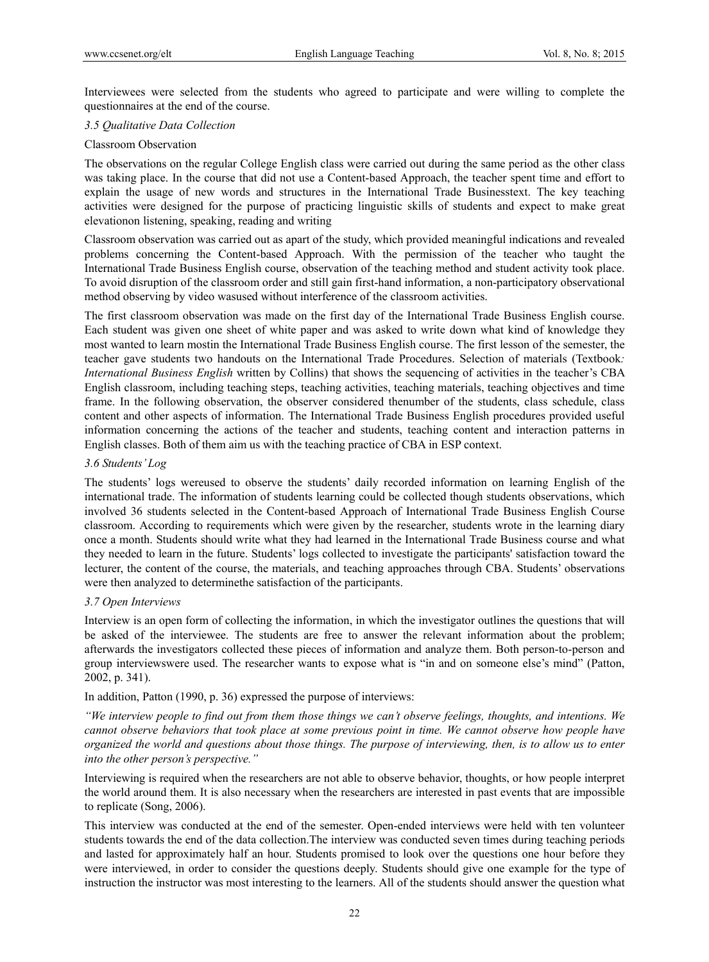Interviewees were selected from the students who agreed to participate and were willing to complete the questionnaires at the end of the course.

#### *3.5 Qualitative Data Collection*

#### Classroom Observation

The observations on the regular College English class were carried out during the same period as the other class was taking place. In the course that did not use a Content-based Approach, the teacher spent time and effort to explain the usage of new words and structures in the International Trade Businesstext. The key teaching activities were designed for the purpose of practicing linguistic skills of students and expect to make great elevationon listening, speaking, reading and writing

Classroom observation was carried out as apart of the study, which provided meaningful indications and revealed problems concerning the Content-based Approach. With the permission of the teacher who taught the International Trade Business English course, observation of the teaching method and student activity took place. To avoid disruption of the classroom order and still gain first-hand information, a non-participatory observational method observing by video wasused without interference of the classroom activities.

The first classroom observation was made on the first day of the International Trade Business English course. Each student was given one sheet of white paper and was asked to write down what kind of knowledge they most wanted to learn mostin the International Trade Business English course. The first lesson of the semester, the teacher gave students two handouts on the International Trade Procedures. Selection of materials (Textbook*: International Business English* written by Collins) that shows the sequencing of activities in the teacher's CBA English classroom, including teaching steps, teaching activities, teaching materials, teaching objectives and time frame. In the following observation, the observer considered thenumber of the students, class schedule, class content and other aspects of information. The International Trade Business English procedures provided useful information concerning the actions of the teacher and students, teaching content and interaction patterns in English classes. Both of them aim us with the teaching practice of CBA in ESP context.

## *3.6 Students' Log*

The students' logs wereused to observe the students' daily recorded information on learning English of the international trade. The information of students learning could be collected though students observations, which involved 36 students selected in the Content-based Approach of International Trade Business English Course classroom. According to requirements which were given by the researcher, students wrote in the learning diary once a month. Students should write what they had learned in the International Trade Business course and what they needed to learn in the future. Students' logs collected to investigate the participants' satisfaction toward the lecturer, the content of the course, the materials, and teaching approaches through CBA. Students' observations were then analyzed to determinethe satisfaction of the participants.

## *3.7 Open Interviews*

Interview is an open form of collecting the information, in which the investigator outlines the questions that will be asked of the interviewee. The students are free to answer the relevant information about the problem; afterwards the investigators collected these pieces of information and analyze them. Both person-to-person and group interviewswere used. The researcher wants to expose what is "in and on someone else's mind" (Patton, 2002, p. 341).

In addition, Patton (1990, p. 36) expressed the purpose of interviews:

*"We interview people to find out from them those things we can't observe feelings, thoughts, and intentions. We cannot observe behaviors that took place at some previous point in time. We cannot observe how people have organized the world and questions about those things. The purpose of interviewing, then, is to allow us to enter into the other person's perspective."* 

Interviewing is required when the researchers are not able to observe behavior, thoughts, or how people interpret the world around them. It is also necessary when the researchers are interested in past events that are impossible to replicate (Song, 2006).

This interview was conducted at the end of the semester. Open-ended interviews were held with ten volunteer students towards the end of the data collection.The interview was conducted seven times during teaching periods and lasted for approximately half an hour. Students promised to look over the questions one hour before they were interviewed, in order to consider the questions deeply. Students should give one example for the type of instruction the instructor was most interesting to the learners. All of the students should answer the question what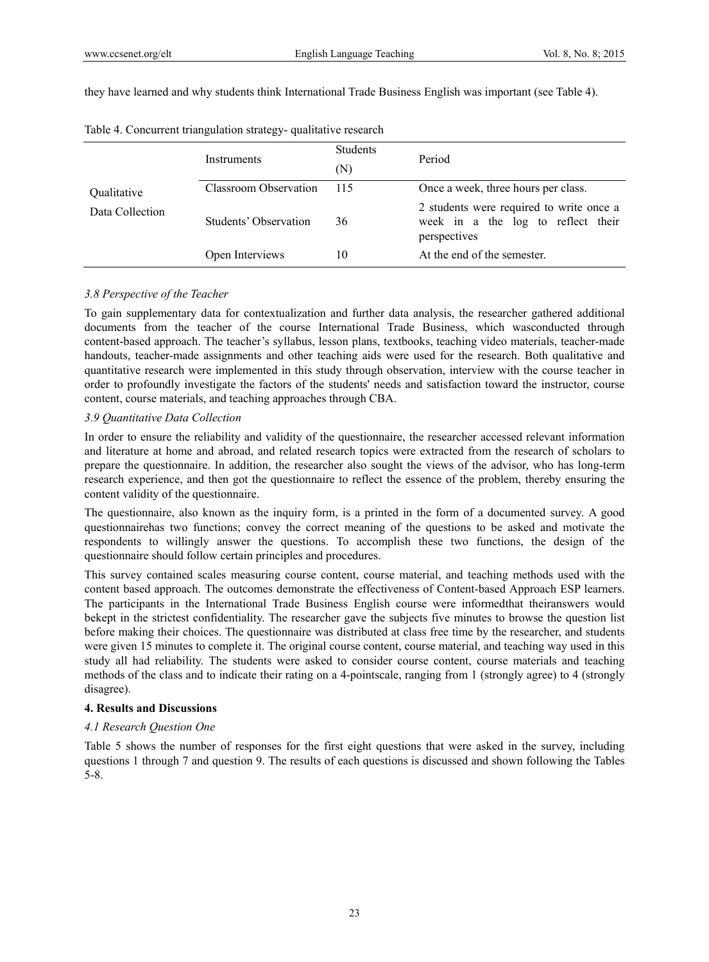they have learned and why students think International Trade Business English was important (see Table 4).

|                 |                       | <b>Students</b> |                                                                                                |  |  |  |
|-----------------|-----------------------|-----------------|------------------------------------------------------------------------------------------------|--|--|--|
|                 | Instruments           | (N)             | Period                                                                                         |  |  |  |
| Qualitative     | Classroom Observation | 115             | Once a week, three hours per class.                                                            |  |  |  |
| Data Collection | Students' Observation | 36              | 2 students were required to write once a<br>week in a the log to reflect their<br>perspectives |  |  |  |
|                 | Open Interviews       | 10              | At the end of the semester.                                                                    |  |  |  |

| Table 4. Concurrent triangulation strategy-qualitative research |  |
|-----------------------------------------------------------------|--|
|-----------------------------------------------------------------|--|

## *3.8 Perspective of the Teacher*

To gain supplementary data for contextualization and further data analysis, the researcher gathered additional documents from the teacher of the course International Trade Business, which wasconducted through content-based approach. The teacher's syllabus, lesson plans, textbooks, teaching video materials, teacher-made handouts, teacher-made assignments and other teaching aids were used for the research. Both qualitative and quantitative research were implemented in this study through observation, interview with the course teacher in order to profoundly investigate the factors of the students' needs and satisfaction toward the instructor, course content, course materials, and teaching approaches through CBA.

## *3.9 Quantitative Data Collection*

In order to ensure the reliability and validity of the questionnaire, the researcher accessed relevant information and literature at home and abroad, and related research topics were extracted from the research of scholars to prepare the questionnaire. In addition, the researcher also sought the views of the advisor, who has long-term research experience, and then got the questionnaire to reflect the essence of the problem, thereby ensuring the content validity of the questionnaire.

The questionnaire, also known as the inquiry form, is a printed in the form of a documented survey. A good questionnairehas two functions; convey the correct meaning of the questions to be asked and motivate the respondents to willingly answer the questions. To accomplish these two functions, the design of the questionnaire should follow certain principles and procedures.

This survey contained scales measuring course content, course material, and teaching methods used with the content based approach. The outcomes demonstrate the effectiveness of Content-based Approach ESP learners. The participants in the International Trade Business English course were informedthat theiranswers would bekept in the strictest confidentiality. The researcher gave the subjects five minutes to browse the question list before making their choices. The questionnaire was distributed at class free time by the researcher, and students were given 15 minutes to complete it. The original course content, course material, and teaching way used in this study all had reliability. The students were asked to consider course content, course materials and teaching methods of the class and to indicate their rating on a 4-pointscale, ranging from 1 (strongly agree) to 4 (strongly disagree).

## **4. Results and Discussions**

## *4.1 Research Question One*

Table 5 shows the number of responses for the first eight questions that were asked in the survey, including questions 1 through 7 and question 9. The results of each questions is discussed and shown following the Tables 5-8.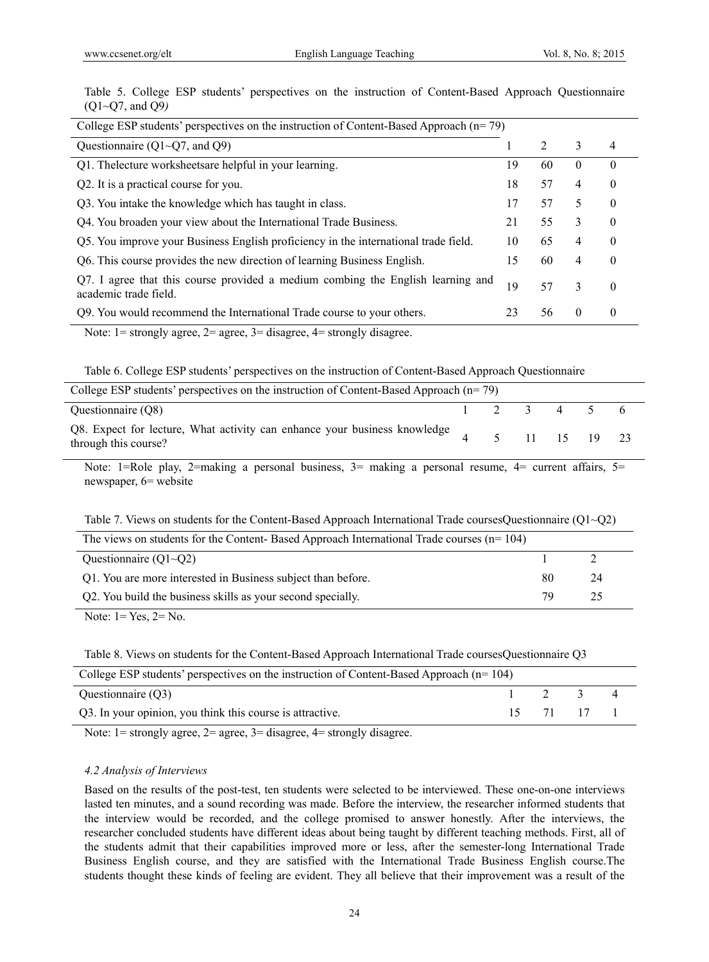|                                 |  |  |  |  | Table 5. College ESP students' perspectives on the instruction of Content-Based Approach Questionnaire |  |
|---------------------------------|--|--|--|--|--------------------------------------------------------------------------------------------------------|--|
| $(Q1 \sim Q7, \text{ and } Q9)$ |  |  |  |  |                                                                                                        |  |

| College ESP students' perspectives on the instruction of Content-Based Approach ( $n=79$ )               |    |    |          |          |  |  |
|----------------------------------------------------------------------------------------------------------|----|----|----------|----------|--|--|
| Questionnaire ( $Q1 \sim Q7$ , and $Q9$ )                                                                |    | 2  | 3        | 4        |  |  |
| Q1. The lecture works heets are helpful in your learning.                                                | 19 | 60 | $\theta$ | $\theta$ |  |  |
| Q2. It is a practical course for you.                                                                    | 18 | 57 | 4        | $\theta$ |  |  |
| Q3. You intake the knowledge which has taught in class.                                                  | 17 | 57 | 5        | $\theta$ |  |  |
| Q4. You broaden your view about the International Trade Business.                                        | 21 | 55 | 3        | $\theta$ |  |  |
| Q5. You improve your Business English proficiency in the international trade field.                      | 10 | 65 | 4        | $\theta$ |  |  |
| Q6. This course provides the new direction of learning Business English.                                 | 15 | 60 | 4        | $\bf{0}$ |  |  |
| Q7. I agree that this course provided a medium combing the English learning and<br>academic trade field. | 19 | 57 | 3        | $\theta$ |  |  |
| Q9. You would recommend the International Trade course to your others.                                   | 23 | 56 | $\theta$ | $\theta$ |  |  |
| $N_{\text{obs}}$ : 1 = strongly egres $2$ = egres $2$ = disearce $4$ = strongly disearce                 |    |    |          |          |  |  |

Note:  $I =$  strongly agree,  $2 =$  agree,  $3 =$  disagree,  $4 =$  strongly disagree.

Table 6. College ESP students' perspectives on the instruction of Content-Based Approach Questionnaire

| College ESP students' perspectives on the instruction of Content-Based Approach $(n=79)$                          |  |  |                         |  |  |  |  |
|-------------------------------------------------------------------------------------------------------------------|--|--|-------------------------|--|--|--|--|
| Questionnaire (Q8)                                                                                                |  |  | $1 \t2 \t3 \t4 \t5 \t6$ |  |  |  |  |
| Q8. Expect for lecture, What activity can enhance your business knowledge 4 5 11 15 19 23<br>through this course? |  |  |                         |  |  |  |  |

Note: 1=Role play, 2=making a personal business, 3= making a personal resume, 4= current affairs, 5= newspaper, 6= website

#### Table 7. Views on students for the Content-Based Approach International Trade coursesQuestionnaire (Q1~Q2)

| The views on students for the Content-Based Approach International Trade courses $(n=104)$ |     |     |
|--------------------------------------------------------------------------------------------|-----|-----|
| Questionnaire $(Q1 \sim Q2)$                                                               |     |     |
| Q1. You are more interested in Business subject than before.                               | 80  | -24 |
| Q2. You build the business skills as your second specially.                                | 79. | -25 |

Note: 1= Yes, 2= No.

Table 8. Views on students for the Content-Based Approach International Trade coursesQuestionnaire Q3

| College ESP students' perspectives on the instruction of Content-Based Approach ( $n=104$ ) |  |  |                                                 |  |  |  |
|---------------------------------------------------------------------------------------------|--|--|-------------------------------------------------|--|--|--|
| Ouestionnaire (O3)                                                                          |  |  | $\begin{array}{cccc} 1 & 2 & 3 & 4 \end{array}$ |  |  |  |
| Q3. In your opinion, you think this course is attractive.                                   |  |  | 15 71 17 1                                      |  |  |  |

Note: 1= strongly agree, 2= agree, 3= disagree, 4= strongly disagree.

#### *4.2 Analysis of Interviews*

Based on the results of the post-test, ten students were selected to be interviewed. These one-on-one interviews lasted ten minutes, and a sound recording was made. Before the interview, the researcher informed students that the interview would be recorded, and the college promised to answer honestly. After the interviews, the researcher concluded students have different ideas about being taught by different teaching methods. First, all of the students admit that their capabilities improved more or less, after the semester-long International Trade Business English course, and they are satisfied with the International Trade Business English course.The students thought these kinds of feeling are evident. They all believe that their improvement was a result of the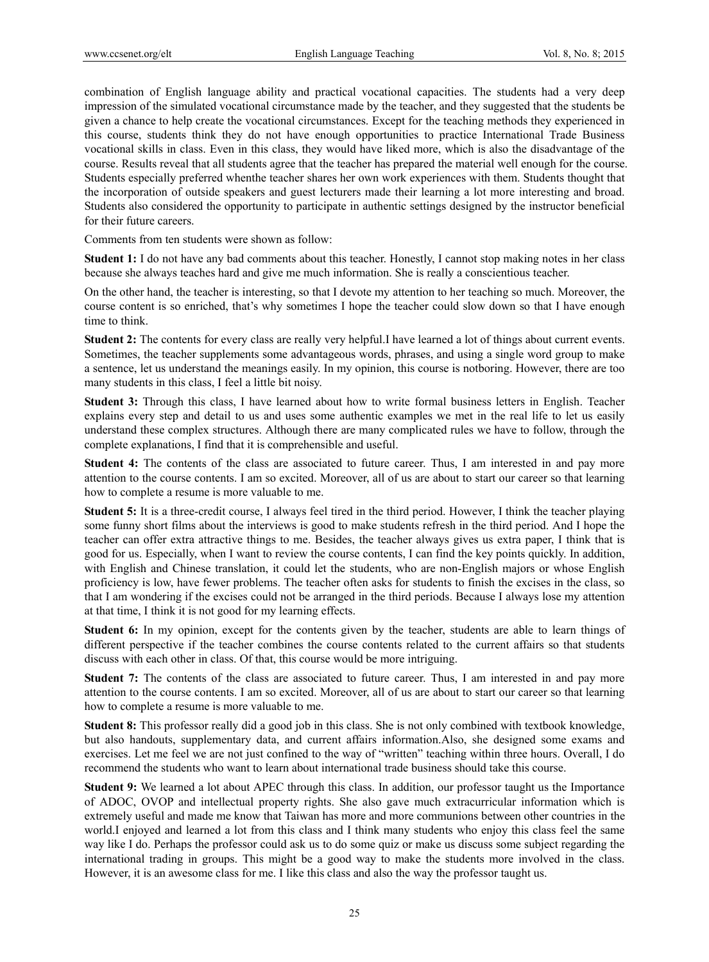combination of English language ability and practical vocational capacities. The students had a very deep impression of the simulated vocational circumstance made by the teacher, and they suggested that the students be given a chance to help create the vocational circumstances. Except for the teaching methods they experienced in this course, students think they do not have enough opportunities to practice International Trade Business vocational skills in class. Even in this class, they would have liked more, which is also the disadvantage of the course. Results reveal that all students agree that the teacher has prepared the material well enough for the course. Students especially preferred whenthe teacher shares her own work experiences with them. Students thought that the incorporation of outside speakers and guest lecturers made their learning a lot more interesting and broad. Students also considered the opportunity to participate in authentic settings designed by the instructor beneficial for their future careers.

Comments from ten students were shown as follow:

**Student 1:** I do not have any bad comments about this teacher. Honestly, I cannot stop making notes in her class because she always teaches hard and give me much information. She is really a conscientious teacher.

On the other hand, the teacher is interesting, so that I devote my attention to her teaching so much. Moreover, the course content is so enriched, that's why sometimes I hope the teacher could slow down so that I have enough time to think.

**Student 2:** The contents for every class are really very helpful.I have learned a lot of things about current events. Sometimes, the teacher supplements some advantageous words, phrases, and using a single word group to make a sentence, let us understand the meanings easily. In my opinion, this course is notboring. However, there are too many students in this class, I feel a little bit noisy.

**Student 3:** Through this class, I have learned about how to write formal business letters in English. Teacher explains every step and detail to us and uses some authentic examples we met in the real life to let us easily understand these complex structures. Although there are many complicated rules we have to follow, through the complete explanations, I find that it is comprehensible and useful.

**Student 4:** The contents of the class are associated to future career. Thus, I am interested in and pay more attention to the course contents. I am so excited. Moreover, all of us are about to start our career so that learning how to complete a resume is more valuable to me.

**Student 5:** It is a three-credit course, I always feel tired in the third period. However, I think the teacher playing some funny short films about the interviews is good to make students refresh in the third period. And I hope the teacher can offer extra attractive things to me. Besides, the teacher always gives us extra paper, I think that is good for us. Especially, when I want to review the course contents, I can find the key points quickly. In addition, with English and Chinese translation, it could let the students, who are non-English majors or whose English proficiency is low, have fewer problems. The teacher often asks for students to finish the excises in the class, so that I am wondering if the excises could not be arranged in the third periods. Because I always lose my attention at that time, I think it is not good for my learning effects.

**Student 6:** In my opinion, except for the contents given by the teacher, students are able to learn things of different perspective if the teacher combines the course contents related to the current affairs so that students discuss with each other in class. Of that, this course would be more intriguing.

**Student 7:** The contents of the class are associated to future career. Thus, I am interested in and pay more attention to the course contents. I am so excited. Moreover, all of us are about to start our career so that learning how to complete a resume is more valuable to me.

**Student 8:** This professor really did a good job in this class. She is not only combined with textbook knowledge, but also handouts, supplementary data, and current affairs information.Also, she designed some exams and exercises. Let me feel we are not just confined to the way of "written" teaching within three hours. Overall, I do recommend the students who want to learn about international trade business should take this course.

**Student 9:** We learned a lot about APEC through this class. In addition, our professor taught us the Importance of ADOC, OVOP and intellectual property rights. She also gave much extracurricular information which is extremely useful and made me know that Taiwan has more and more communions between other countries in the world.I enjoyed and learned a lot from this class and I think many students who enjoy this class feel the same way like I do. Perhaps the professor could ask us to do some quiz or make us discuss some subject regarding the international trading in groups. This might be a good way to make the students more involved in the class. However, it is an awesome class for me. I like this class and also the way the professor taught us.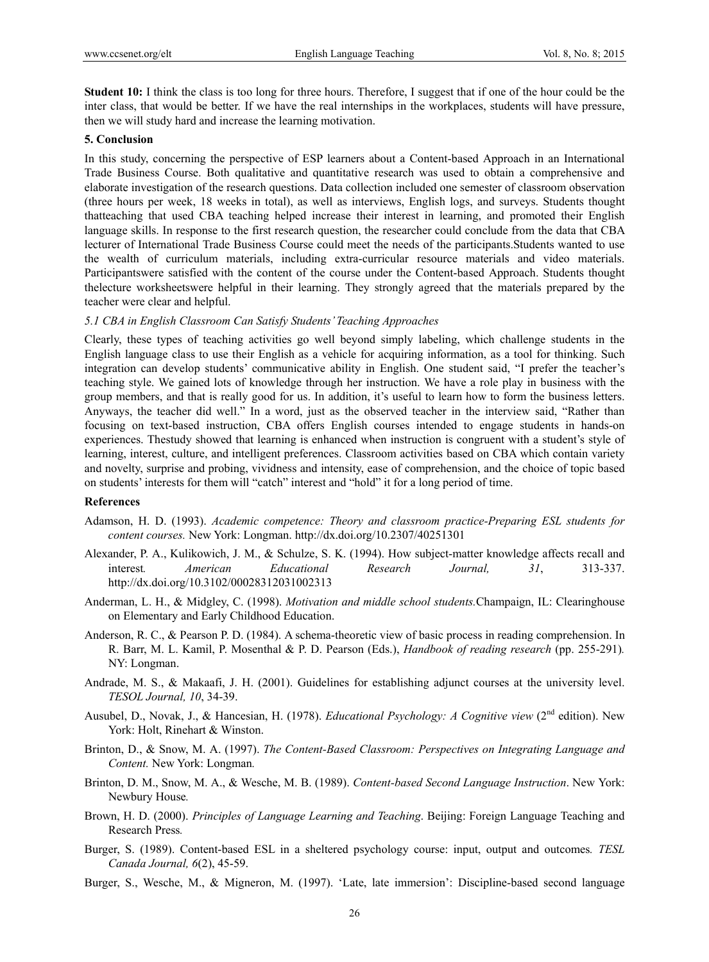**Student 10:** I think the class is too long for three hours. Therefore, I suggest that if one of the hour could be the inter class, that would be better. If we have the real internships in the workplaces, students will have pressure, then we will study hard and increase the learning motivation.

#### **5. Conclusion**

In this study, concerning the perspective of ESP learners about a Content-based Approach in an International Trade Business Course. Both qualitative and quantitative research was used to obtain a comprehensive and elaborate investigation of the research questions. Data collection included one semester of classroom observation (three hours per week, 18 weeks in total), as well as interviews, English logs, and surveys. Students thought thatteaching that used CBA teaching helped increase their interest in learning, and promoted their English language skills. In response to the first research question, the researcher could conclude from the data that CBA lecturer of International Trade Business Course could meet the needs of the participants.Students wanted to use the wealth of curriculum materials, including extra-curricular resource materials and video materials. Participantswere satisfied with the content of the course under the Content-based Approach. Students thought thelecture worksheetswere helpful in their learning. They strongly agreed that the materials prepared by the teacher were clear and helpful.

## *5.1 CBA in English Classroom Can Satisfy Students' Teaching Approaches*

Clearly, these types of teaching activities go well beyond simply labeling, which challenge students in the English language class to use their English as a vehicle for acquiring information, as a tool for thinking. Such integration can develop students' communicative ability in English. One student said, "I prefer the teacher's teaching style. We gained lots of knowledge through her instruction. We have a role play in business with the group members, and that is really good for us. In addition, it's useful to learn how to form the business letters. Anyways, the teacher did well." In a word, just as the observed teacher in the interview said, "Rather than focusing on text-based instruction, CBA offers English courses intended to engage students in hands-on experiences. Thestudy showed that learning is enhanced when instruction is congruent with a student's style of learning, interest, culture, and intelligent preferences. Classroom activities based on CBA which contain variety and novelty, surprise and probing, vividness and intensity, ease of comprehension, and the choice of topic based on students' interests for them will "catch" interest and "hold" it for a long period of time.

#### **References**

- Adamson, H. D. (1993). *Academic competence: Theory and classroom practice-Preparing ESL students for content courses.* New York: Longman. http://dx.doi.org/10.2307/40251301
- Alexander, P. A., Kulikowich, J. M., & Schulze, S. K. (1994). How subject-matter knowledge affects recall and interest*. American Educational Research Journal, 31*, 313-337. http://dx.doi.org/10.3102/00028312031002313
- Anderman, L. H., & Midgley, C. (1998). *Motivation and middle school students.*Champaign, IL: Clearinghouse on Elementary and Early Childhood Education.
- Anderson, R. C., & Pearson P. D. (1984). A schema-theoretic view of basic process in reading comprehension. In R. Barr, M. L. Kamil, P. Mosenthal & P. D. Pearson (Eds.), *Handbook of reading research* (pp. 255-291)*.*  NY: Longman.
- Andrade, M. S., & Makaafi, J. H. (2001). Guidelines for establishing adjunct courses at the university level. *TESOL Journal, 10*, 34-39.
- Ausubel, D., Novak, J., & Hancesian, H. (1978). *Educational Psychology: A Cognitive view* (2<sup>nd</sup> edition). New York: Holt, Rinehart & Winston.
- Brinton, D., & Snow, M. A. (1997). *The Content-Based Classroom: Perspectives on Integrating Language and Content.* New York: Longman*.*
- Brinton, D. M., Snow, M. A., & Wesche, M. B. (1989). *Content-based Second Language Instruction*. New York: Newbury House*.*
- Brown, H. D. (2000). *Principles of Language Learning and Teaching*. Beijing: Foreign Language Teaching and Research Press*.*
- Burger, S. (1989). Content-based ESL in a sheltered psychology course: input, output and outcomes*. TESL Canada Journal, 6*(2), 45-59.
- Burger, S., Wesche, M., & Migneron, M. (1997). 'Late, late immersion': Discipline-based second language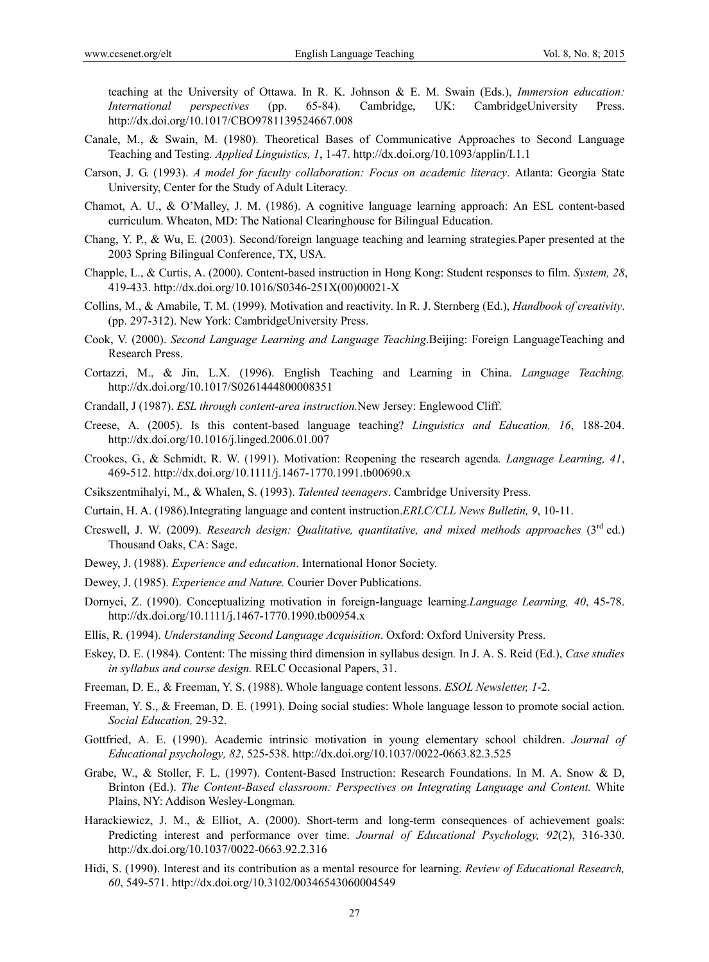teaching at the University of Ottawa. In R. K. Johnson & E. M. Swain (Eds.), *Immersion education: International perspectives* (pp. 65-84). Cambridge, UK: CambridgeUniversity Press. http://dx.doi.org/10.1017/CBO9781139524667.008

- Canale, M., & Swain, M. (1980). Theoretical Bases of Communicative Approaches to Second Language Teaching and Testing*. Applied Linguistics, 1*, 1-47. http://dx.doi.org/10.1093/applin/I.1.1
- Carson, J. G. (1993). *A model for faculty collaboration: Focus on academic literacy*. Atlanta: Georgia State University, Center for the Study of Adult Literacy.
- Chamot, A. U., & O'Malley, J. M. (1986). A cognitive language learning approach: An ESL content-based curriculum. Wheaton, MD: The National Clearinghouse for Bilingual Education.
- Chang, Y. P., & Wu, E. (2003). Second/foreign language teaching and learning strategies*.*Paper presented at the 2003 Spring Bilingual Conference, TX, USA.
- Chapple, L., & Curtis, A. (2000). Content-based instruction in Hong Kong: Student responses to film. *System, 28*, 419-433. http://dx.doi.org/10.1016/S0346-251X(00)00021-X
- Collins, M., & Amabile, T. M. (1999). Motivation and reactivity. In R. J. Sternberg (Ed.), *Handbook of creativity*. (pp. 297-312). New York: CambridgeUniversity Press.
- Cook, V. (2000). *Second Language Learning and Language Teaching*.Beijing: Foreign LanguageTeaching and Research Press.
- Cortazzi, M., & Jin, L.X. (1996). English Teaching and Learning in China. *Language Teaching.*  http://dx.doi.org/10.1017/S0261444800008351
- Crandall, J (1987). *ESL through content-area instruction.*New Jersey: Englewood Cliff.
- Creese, A. (2005). Is this content-based language teaching? *Linguistics and Education, 16*, 188-204. http://dx.doi.org/10.1016/j.linged.2006.01.007
- Crookes, G., & Schmidt, R. W. (1991). Motivation: Reopening the research agenda*. Language Learning, 41*, 469-512. http://dx.doi.org/10.1111/j.1467-1770.1991.tb00690.x
- Csikszentmihalyi, M., & Whalen, S. (1993). *Talented teenagers*. Cambridge University Press.
- Curtain, H. A. (1986).Integrating language and content instruction.*ERLC/CLL News Bulletin, 9*, 10-11.
- Creswell, J. W. (2009). *Research design: Qualitative, quantitative, and mixed methods approaches* ( $3<sup>rd</sup>$  ed.) Thousand Oaks, CA: Sage.
- Dewey, J. (1988). *Experience and education*. International Honor Society.
- Dewey, J. (1985). *Experience and Nature.* Courier Dover Publications.
- Dornyei, Z. (1990). Conceptualizing motivation in foreign-language learning.*Language Learning, 40*, 45-78. http://dx.doi.org/10.1111/j.1467-1770.1990.tb00954.x
- Ellis, R. (1994). *Understanding Second Language Acquisition*. Oxford: Oxford University Press.
- Eskey, D. E. (1984). Content: The missing third dimension in syllabus design*.* In J. A. S. Reid (Ed.), *Case studies in syllabus and course design.* RELC Occasional Papers, 31.
- Freeman, D. E., & Freeman, Y. S. (1988). Whole language content lessons. *ESOL Newsletter, 1*-2.
- Freeman, Y. S., & Freeman, D. E. (1991). Doing social studies: Whole language lesson to promote social action. *Social Education,* 29-32.
- Gottfried, A. E. (1990). Academic intrinsic motivation in young elementary school children. *Journal of Educational psychology, 82*, 525-538. http://dx.doi.org/10.1037/0022-0663.82.3.525
- Grabe, W., & Stoller, F. L. (1997). Content-Based Instruction: Research Foundations. In M. A. Snow & D, Brinton (Ed.). *The Content-Based classroom: Perspectives on Integrating Language and Content.* White Plains, NY: Addison Wesley-Longman*.*
- Harackiewicz, J. M., & Elliot, A. (2000). Short-term and long-term consequences of achievement goals: Predicting interest and performance over time. *Journal of Educational Psychology, 92*(2), 316-330. http://dx.doi.org/10.1037/0022-0663.92.2.316
- Hidi, S. (1990). Interest and its contribution as a mental resource for learning. *Review of Educational Research, 60*, 549-571. http://dx.doi.org/10.3102/00346543060004549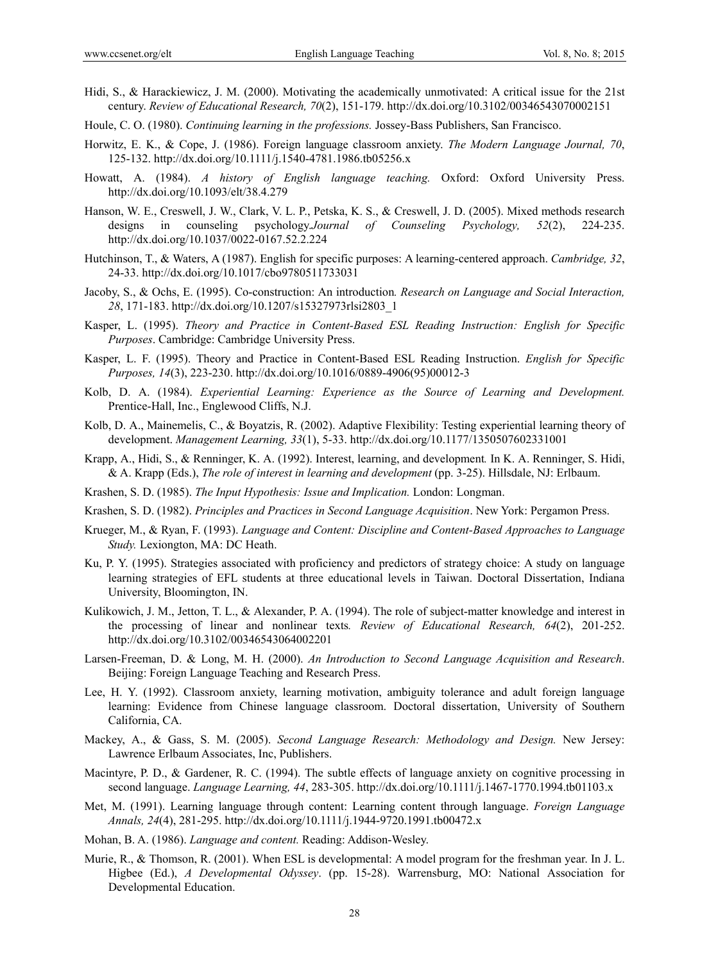- Hidi, S., & Harackiewicz, J. M. (2000). Motivating the academically unmotivated: A critical issue for the 21st century. *Review of Educational Research, 70*(2), 151-179. http://dx.doi.org/10.3102/00346543070002151
- Houle, C. O. (1980). *Continuing learning in the professions.* Jossey-Bass Publishers, San Francisco.
- Horwitz, E. K., & Cope, J. (1986). Foreign language classroom anxiety. *The Modern Language Journal, 70*, 125-132. http://dx.doi.org/10.1111/j.1540-4781.1986.tb05256.x
- Howatt, A. (1984). *A history of English language teaching.* Oxford: Oxford University Press. http://dx.doi.org/10.1093/elt/38.4.279
- Hanson, W. E., Creswell, J. W., Clark, V. L. P., Petska, K. S., & Creswell, J. D. (2005). Mixed methods research designs in counseling psychology.*Journal of Counseling Psychology, 52*(2), 224-235. http://dx.doi.org/10.1037/0022-0167.52.2.224
- Hutchinson, T., & Waters, A (1987). English for specific purposes: A learning-centered approach. *Cambridge, 32*, 24-33. http://dx.doi.org/10.1017/cbo9780511733031
- Jacoby, S., & Ochs, E. (1995). Co-construction: An introduction*. Research on Language and Social Interaction, 28*, 171-183. http://dx.doi.org/10.1207/s15327973rlsi2803\_1
- Kasper, L. (1995). *Theory and Practice in Content-Based ESL Reading Instruction: English for Specific Purposes*. Cambridge: Cambridge University Press.
- Kasper, L. F. (1995). Theory and Practice in Content-Based ESL Reading Instruction. *English for Specific Purposes, 14*(3), 223-230. http://dx.doi.org/10.1016/0889-4906(95)00012-3
- Kolb, D. A. (1984). *Experiential Learning: Experience as the Source of Learning and Development.*  Prentice-Hall, Inc., Englewood Cliffs, N.J.
- Kolb, D. A., Mainemelis, C., & Boyatzis, R. (2002). Adaptive Flexibility: Testing experiential learning theory of development. *Management Learning, 33*(1), 5-33. http://dx.doi.org/10.1177/1350507602331001
- Krapp, A., Hidi, S., & Renninger, K. A. (1992). Interest, learning, and development*.* In K. A. Renninger, S. Hidi, & A. Krapp (Eds.), *The role of interest in learning and development* (pp. 3-25). Hillsdale, NJ: Erlbaum.
- Krashen, S. D. (1985). *The Input Hypothesis: Issue and Implication.* London: Longman.
- Krashen, S. D. (1982). *Principles and Practices in Second Language Acquisition*. New York: Pergamon Press.
- Krueger, M., & Ryan, F. (1993). *Language and Content: Discipline and Content-Based Approaches to Language Study.* Lexiongton, MA: DC Heath.
- Ku, P. Y. (1995). Strategies associated with proficiency and predictors of strategy choice: A study on language learning strategies of EFL students at three educational levels in Taiwan. Doctoral Dissertation, Indiana University, Bloomington, IN.
- Kulikowich, J. M., Jetton, T. L., & Alexander, P. A. (1994). The role of subject-matter knowledge and interest in the processing of linear and nonlinear texts*. Review of Educational Research, 64*(2), 201-252. http://dx.doi.org/10.3102/00346543064002201
- Larsen-Freeman, D. & Long, M. H. (2000). *An Introduction to Second Language Acquisition and Research*. Beijing: Foreign Language Teaching and Research Press.
- Lee, H. Y. (1992). Classroom anxiety, learning motivation, ambiguity tolerance and adult foreign language learning: Evidence from Chinese language classroom. Doctoral dissertation, University of Southern California, CA.
- Mackey, A., & Gass, S. M. (2005). *Second Language Research: Methodology and Design.* New Jersey: Lawrence Erlbaum Associates, Inc, Publishers.
- Macintyre, P. D., & Gardener, R. C. (1994). The subtle effects of language anxiety on cognitive processing in second language. *Language Learning, 44*, 283-305. http://dx.doi.org/10.1111/j.1467-1770.1994.tb01103.x
- Met, M. (1991). Learning language through content: Learning content through language. *Foreign Language Annals, 24*(4), 281-295. http://dx.doi.org/10.1111/j.1944-9720.1991.tb00472.x
- Mohan, B. A. (1986). *Language and content.* Reading: Addison-Wesley.
- Murie, R., & Thomson, R. (2001). When ESL is developmental: A model program for the freshman year. In J. L. Higbee (Ed.), *A Developmental Odyssey*. (pp. 15-28). Warrensburg, MO: National Association for Developmental Education.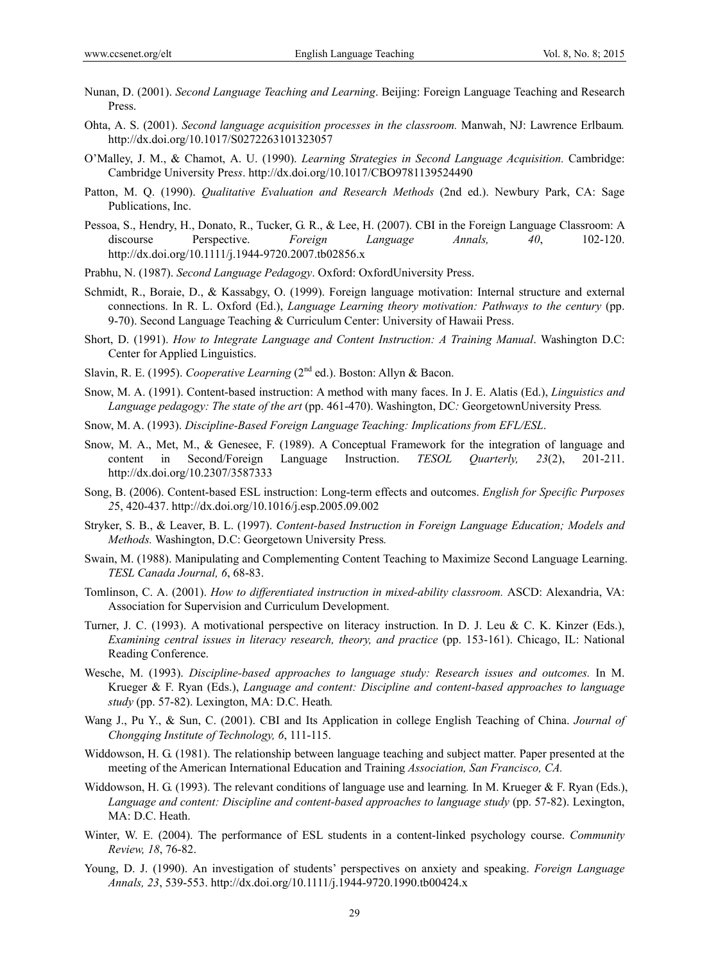- Nunan, D. (2001). *Second Language Teaching and Learning*. Beijing: Foreign Language Teaching and Research Press.
- Ohta, A. S. (2001). *Second language acquisition processes in the classroom*. Manwah, NJ: Lawrence Erlbaum. http://dx.doi.org/10.1017/S0272263101323057
- O'Malley, J. M., & Chamot, A. U. (1990). *Learning Strategies in Second Language Acquisition.* Cambridge: Cambridge University Pre*ss*. http://dx.doi.org/10.1017/CBO9781139524490
- Patton, M. Q. (1990). *Qualitative Evaluation and Research Methods* (2nd ed.). Newbury Park, CA: Sage Publications, Inc.
- Pessoa, S., Hendry, H., Donato, R., Tucker, G. R., & Lee, H. (2007). CBI in the Foreign Language Classroom: A discourse Perspective. *Foreign Language Annals, 40*, 102-120. http://dx.doi.org/10.1111/j.1944-9720.2007.tb02856.x
- Prabhu, N. (1987). *Second Language Pedagogy*. Oxford: OxfordUniversity Press.
- Schmidt, R., Boraie, D., & Kassabgy, O. (1999). Foreign language motivation: Internal structure and external connections. In R. L. Oxford (Ed.), *Language Learning theory motivation: Pathways to the century* (pp. 9-70). Second Language Teaching & Curriculum Center: University of Hawaii Press.
- Short, D. (1991). *How to Integrate Language and Content Instruction: A Training Manual*. Washington D.C: Center for Applied Linguistics.
- Slavin, R. E. (1995). *Cooperative Learning* (2<sup>nd</sup> ed.). Boston: Allyn & Bacon.
- Snow, M. A. (1991). Content-based instruction: A method with many faces. In J. E. Alatis (Ed.), *Linguistics and Language pedagogy: The state of the art* (pp. 461-470). Washington, DC*:* GeorgetownUniversity Press*.*
- Snow, M. A. (1993). *Discipline-Based Foreign Language Teaching: Implications from EFL/ESL*.
- Snow, M. A., Met, M., & Genesee, F. (1989). A Conceptual Framework for the integration of language and content in Second/Foreign Language Instruction. *TESOL Quarterly, 23*(2), 201-211. http://dx.doi.org/10.2307/3587333
- Song, B. (2006). Content-based ESL instruction: Long-term effects and outcomes. *English for Specific Purposes 2*5, 420-437. http://dx.doi.org/10.1016/j.esp.2005.09.002
- Stryker, S. B., & Leaver, B. L. (1997). *Content-based Instruction in Foreign Language Education; Models and Methods.* Washington, D.C: Georgetown University Press*.*
- Swain, M. (1988). Manipulating and Complementing Content Teaching to Maximize Second Language Learning. *TESL Canada Journal, 6*, 68-83.
- Tomlinson, C. A. (2001). *How to differentiated instruction in mixed-ability classroom.* ASCD: Alexandria, VA: Association for Supervision and Curriculum Development.
- Turner, J. C. (1993). A motivational perspective on literacy instruction. In D. J. Leu & C. K. Kinzer (Eds.), *Examining central issues in literacy research, theory, and practice* (pp. 153-161). Chicago, IL: National Reading Conference.
- Wesche, M. (1993). *Discipline-based approaches to language study: Research issues and outcomes.* In M. Krueger & F. Ryan (Eds.), *Language and content: Discipline and content-based approaches to language study* (pp. 57-82). Lexington, MA: D.C. Heath*.*
- Wang J., Pu Y., & Sun, C. (2001). CBI and Its Application in college English Teaching of China. *Journal of Chongqing Institute of Technology, 6*, 111-115.
- Widdowson, H. G. (1981). The relationship between language teaching and subject matter. Paper presented at the meeting of the American International Education and Training *Association, San Francisco, CA.*
- Widdowson, H. G. (1993). The relevant conditions of language use and learning*.* In M. Krueger & F. Ryan (Eds.), *Language and content: Discipline and content-based approaches to language study (pp. 57-82). Lexington,* MA: D.C. Heath.
- Winter, W. E. (2004). The performance of ESL students in a content-linked psychology course. *Community Review, 18*, 76-82.
- Young, D. J. (1990). An investigation of students' perspectives on anxiety and speaking. *Foreign Language Annals, 23*, 539-553. http://dx.doi.org/10.1111/j.1944-9720.1990.tb00424.x